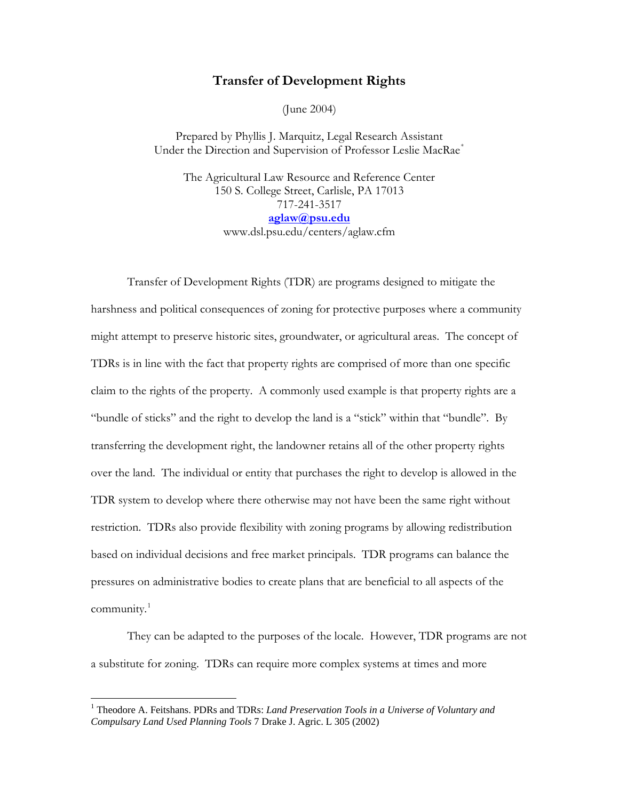## **Transfer of Development Rights**

(June 2004)

Prepared by Phyllis J. Marquitz, Legal Research Assistant Under the Direction and Supervision of Professor Leslie MacRae<sup>[\\*](#page-5-0)</sup>

The Agricultural Law Resource and Reference Center 150 S. College Street, Carlisle, PA 17013 717-241-3517 **[aglaw@psu.edu](mailto:aglaw@psu.edu)** www.dsl.psu.edu/centers/aglaw.cfm

Transfer of Development Rights (TDR) are programs designed to mitigate the harshness and political consequences of zoning for protective purposes where a community might attempt to preserve historic sites, groundwater, or agricultural areas. The concept of TDRs is in line with the fact that property rights are comprised of more than one specific claim to the rights of the property. A commonly used example is that property rights are a "bundle of sticks" and the right to develop the land is a "stick" within that "bundle". By transferring the development right, the landowner retains all of the other property rights over the land. The individual or entity that purchases the right to develop is allowed in the TDR system to develop where there otherwise may not have been the same right without restriction. TDRs also provide flexibility with zoning programs by allowing redistribution based on individual decisions and free market principals. TDR programs can balance the pressures on administrative bodies to create plans that are beneficial to all aspects of the community.<sup>[1](#page-0-0)</sup>

 They can be adapted to the purposes of the locale. However, TDR programs are not a substitute for zoning. TDRs can require more complex systems at times and more

<span id="page-0-0"></span><sup>&</sup>lt;sup>1</sup> Theodore A. Feitshans. PDRs and TDRs: *Land Preservation Tools in a Universe of Voluntary and Compulsary Land Used Planning Tools* 7 Drake J. Agric. L 305 (2002)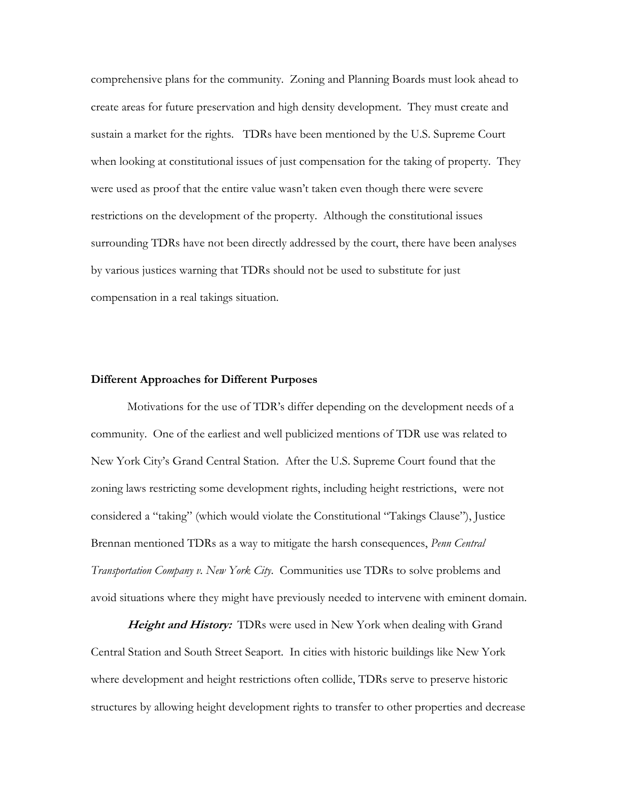comprehensive plans for the community. Zoning and Planning Boards must look ahead to create areas for future preservation and high density development. They must create and sustain a market for the rights. TDRs have been mentioned by the U.S. Supreme Court when looking at constitutional issues of just compensation for the taking of property. They were used as proof that the entire value wasn't taken even though there were severe restrictions on the development of the property. Although the constitutional issues surrounding TDRs have not been directly addressed by the court, there have been analyses by various justices warning that TDRs should not be used to substitute for just compensation in a real takings situation.

## **Different Approaches for Different Purposes**

Motivations for the use of TDR's differ depending on the development needs of a community. One of the earliest and well publicized mentions of TDR use was related to New York City's Grand Central Station. After the U.S. Supreme Court found that the zoning laws restricting some development rights, including height restrictions, were not considered a "taking" (which would violate the Constitutional "Takings Clause"), Justice Brennan mentioned TDRs as a way to mitigate the harsh consequences, *Penn Central Transportation Company v. New York City*. Communities use TDRs to solve problems and avoid situations where they might have previously needed to intervene with eminent domain.

**Height and History:** TDRs were used in New York when dealing with Grand Central Station and South Street Seaport. In cities with historic buildings like New York where development and height restrictions often collide, TDRs serve to preserve historic structures by allowing height development rights to transfer to other properties and decrease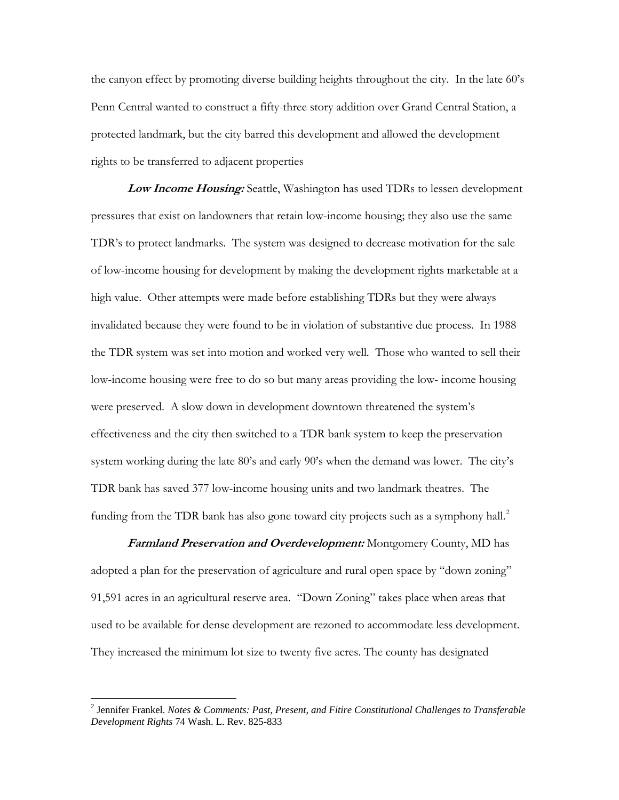the canyon effect by promoting diverse building heights throughout the city. In the late 60's Penn Central wanted to construct a fifty-three story addition over Grand Central Station, a protected landmark, but the city barred this development and allowed the development rights to be transferred to adjacent properties

**Low Income Housing:** Seattle, Washington has used TDRs to lessen development pressures that exist on landowners that retain low-income housing; they also use the same TDR's to protect landmarks. The system was designed to decrease motivation for the sale of low-income housing for development by making the development rights marketable at a high value. Other attempts were made before establishing TDRs but they were always invalidated because they were found to be in violation of substantive due process. In 1988 the TDR system was set into motion and worked very well. Those who wanted to sell their low-income housing were free to do so but many areas providing the low- income housing were preserved. A slow down in development downtown threatened the system's effectiveness and the city then switched to a TDR bank system to keep the preservation system working during the late 80's and early 90's when the demand was lower. The city's TDR bank has saved 377 low-income housing units and two landmark theatres. The funding from the TDR bank has also gone toward city projects such as a symphony hall.<sup>[2](#page-2-0)</sup>

**Farmland Preservation and Overdevelopment:** Montgomery County, MD has adopted a plan for the preservation of agriculture and rural open space by "down zoning" 91,591 acres in an agricultural reserve area. "Down Zoning" takes place when areas that used to be available for dense development are rezoned to accommodate less development. They increased the minimum lot size to twenty five acres. The county has designated

<span id="page-2-0"></span><sup>2</sup> Jennifer Frankel. *Notes & Comments: Past, Present, and Fitire Constitutional Challenges to Transferable Development Rights* 74 Wash. L. Rev. 825-833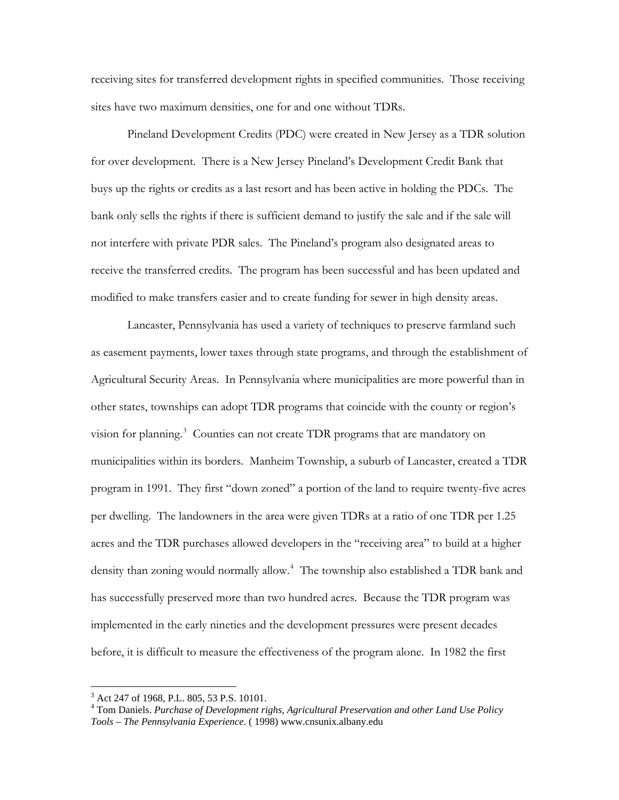receiving sites for transferred development rights in specified communities. Those receiving sites have two maximum densities, one for and one without TDRs.

 Pineland Development Credits (PDC) were created in New Jersey as a TDR solution for over development. There is a New Jersey Pineland's Development Credit Bank that buys up the rights or credits as a last resort and has been active in holding the PDCs. The bank only sells the rights if there is sufficient demand to justify the sale and if the sale will not interfere with private PDR sales. The Pineland's program also designated areas to receive the transferred credits. The program has been successful and has been updated and modified to make transfers easier and to create funding for sewer in high density areas.

 Lancaster, Pennsylvania has used a variety of techniques to preserve farmland such as easement payments, lower taxes through state programs, and through the establishment of Agricultural Security Areas. In Pennsylvania where municipalities are more powerful than in other states, townships can adopt TDR programs that coincide with the county or region's vision for planning.<sup>[3](#page-3-0)</sup> Counties can not create TDR programs that are mandatory on municipalities within its borders. Manheim Township, a suburb of Lancaster, created a TDR program in 1991. They first "down zoned" a portion of the land to require twenty-five acres per dwelling. The landowners in the area were given TDRs at a ratio of one TDR per 1.25 acres and the TDR purchases allowed developers in the "receiving area" to build at a higher density than zoning would normally allow.<sup>[4](#page-3-1)</sup> The township also established a TDR bank and has successfully preserved more than two hundred acres. Because the TDR program was implemented in the early nineties and the development pressures were present decades before, it is difficult to measure the effectiveness of the program alone. In 1982 the first

<span id="page-3-0"></span><sup>&</sup>lt;sup>3</sup> Act 247 of 1968, P.L. 805, 53 P.S. 10101.

<span id="page-3-1"></span><sup>4</sup> Tom Daniels. *Purchase of Development righs, Agricultural Preservation and other Land Use Policy Tools – The Pennsylvania Experience.* ( 1998) www.cnsunix.albany.edu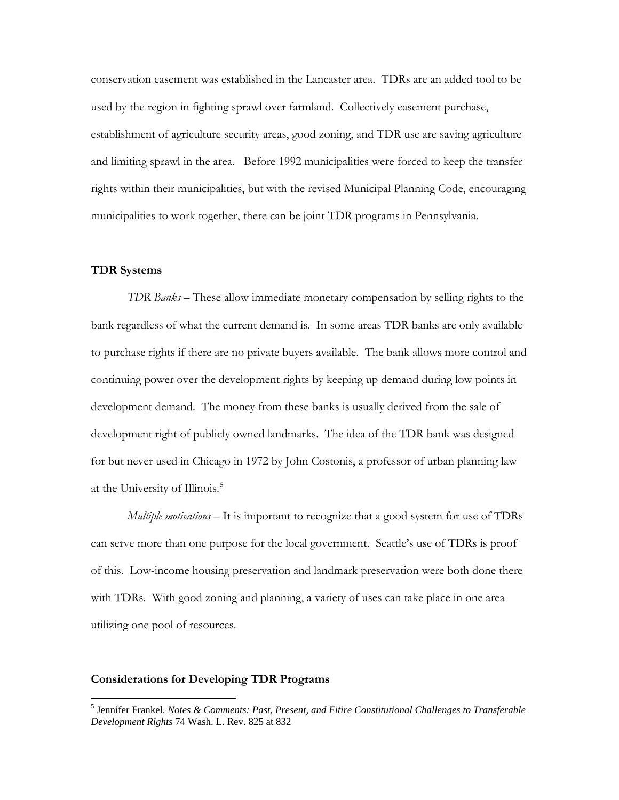conservation easement was established in the Lancaster area. TDRs are an added tool to be used by the region in fighting sprawl over farmland. Collectively easement purchase, establishment of agriculture security areas, good zoning, and TDR use are saving agriculture and limiting sprawl in the area. Before 1992 municipalities were forced to keep the transfer rights within their municipalities, but with the revised Municipal Planning Code, encouraging municipalities to work together, there can be joint TDR programs in Pennsylvania.

## **TDR Systems**

 $\overline{a}$ 

*TDR Banks* – These allow immediate monetary compensation by selling rights to the bank regardless of what the current demand is. In some areas TDR banks are only available to purchase rights if there are no private buyers available. The bank allows more control and continuing power over the development rights by keeping up demand during low points in development demand. The money from these banks is usually derived from the sale of development right of publicly owned landmarks. The idea of the TDR bank was designed for but never used in Chicago in 1972 by John Costonis, a professor of urban planning law at the University of Illinois.<sup>[5](#page-4-0)</sup>

*Multiple motivations* – It is important to recognize that a good system for use of TDRs can serve more than one purpose for the local government. Seattle's use of TDRs is proof of this. Low-income housing preservation and landmark preservation were both done there with TDRs. With good zoning and planning, a variety of uses can take place in one area utilizing one pool of resources.

## **Considerations for Developing TDR Programs**

<span id="page-4-0"></span><sup>5</sup> Jennifer Frankel. *Notes & Comments: Past, Present, and Fitire Constitutional Challenges to Transferable Development Rights* 74 Wash. L. Rev. 825 at 832